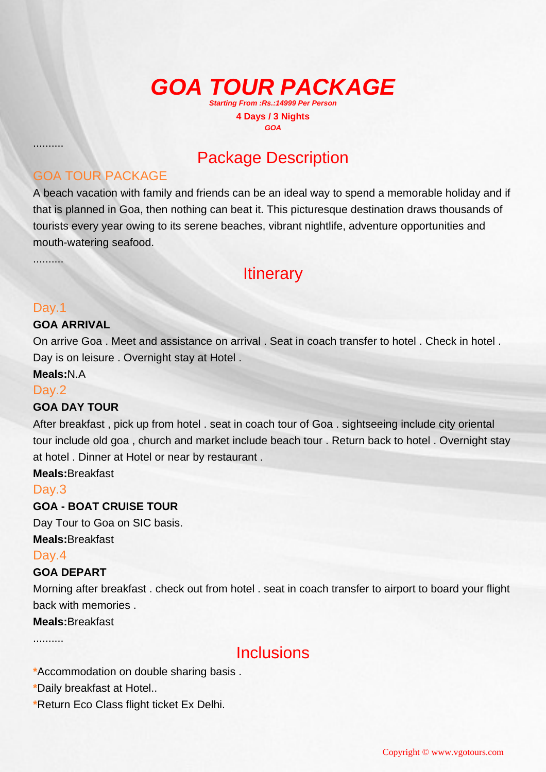#### **GOA TOUR PACKAGE Starting From :Rs.:14999 Per Person 4 Days / 3 Nights GOA**

# Package Description

### GOA TOUR PACKAGE

A beach vacation with family and friends can be an ideal way to spend a memorable holiday and if that is planned in Goa, then nothing can beat it. This picturesque destination draws thousands of tourists every year owing to its serene beaches, vibrant nightlife, adventure opportunities and mouth-watering seafood.

..........

..........

## **Itinerary**

#### Day.1

#### **GOA ARRIVAL**

On arrive Goa . Meet and assistance on arrival . Seat in coach transfer to hotel . Check in hotel . Day is on leisure . Overnight stay at Hotel .

**Meals:**N.A

#### Day.2

#### **GOA DAY TOUR**

After breakfast , pick up from hotel . seat in coach tour of Goa . sightseeing include city oriental tour include old goa , church and market include beach tour . Return back to hotel . Overnight stay at hotel . Dinner at Hotel or near by restaurant .

**Meals:**Breakfast

#### Day.3

#### **GOA - BOAT CRUISE TOUR**

Day Tour to Goa on SIC basis. **Meals:**Breakfast

#### Day.4

#### **GOA DEPART**

Morning after breakfast . check out from hotel . seat in coach transfer to airport to board your flight back with memories .

#### **Meals:**Breakfast

..........

### Inclusions

- **\***Accommodation on double sharing basis .
- **\***Daily breakfast at Hotel..
- **\***Return Eco Class flight ticket Ex Delhi.